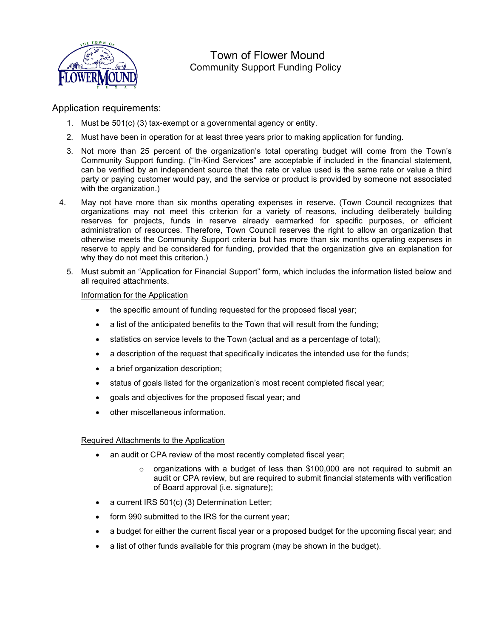

# Town of Flower Mound Community Support Funding Policy

### Application requirements:

- 1. Must be 501(c) (3) tax-exempt or a governmental agency or entity.
- 2. Must have been in operation for at least three years prior to making application for funding.
- 3. Not more than 25 percent of the organization's total operating budget will come from the Town's Community Support funding. ("In-Kind Services" are acceptable if included in the financial statement, can be verified by an independent source that the rate or value used is the same rate or value a third party or paying customer would pay, and the service or product is provided by someone not associated with the organization.)
- 4. May not have more than six months operating expenses in reserve. (Town Council recognizes that organizations may not meet this criterion for a variety of reasons, including deliberately building reserves for projects, funds in reserve already earmarked for specific purposes, or efficient administration of resources. Therefore, Town Council reserves the right to allow an organization that otherwise meets the Community Support criteria but has more than six months operating expenses in reserve to apply and be considered for funding, provided that the organization give an explanation for why they do not meet this criterion.)
	- 5. Must submit an "Application for Financial Support" form, which includes the information listed below and all required attachments.

#### Information for the Application

- the specific amount of funding requested for the proposed fiscal year;
- a list of the anticipated benefits to the Town that will result from the funding;
- statistics on service levels to the Town (actual and as a percentage of total);
- a description of the request that specifically indicates the intended use for the funds;
- a brief organization description;
- status of goals listed for the organization's most recent completed fiscal year;
- goals and objectives for the proposed fiscal year; and
- other miscellaneous information.

#### Required Attachments to the Application

- an audit or CPA review of the most recently completed fiscal year;
	- $\circ$  organizations with a budget of less than \$100,000 are not required to submit an audit or CPA review, but are required to submit financial statements with verification of Board approval (i.e. signature);
- a current IRS 501(c) (3) Determination Letter;
- form 990 submitted to the IRS for the current year;
- a budget for either the current fiscal year or a proposed budget for the upcoming fiscal year; and
- a list of other funds available for this program (may be shown in the budget).